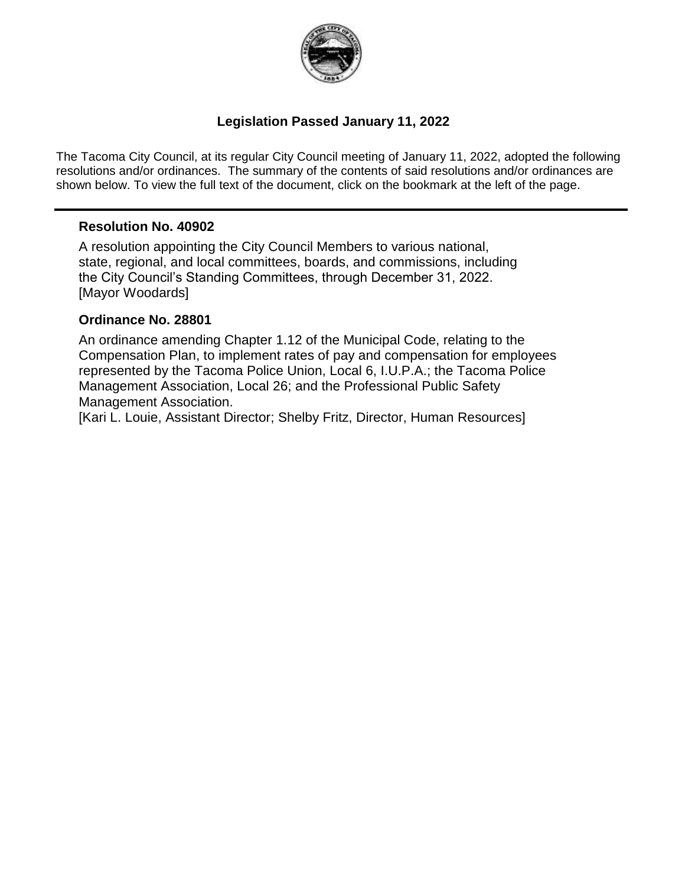

### **Legislation Passed January 11, 2022**

The Tacoma City Council, at its regular City Council meeting of January 11, 2022, adopted the following resolutions and/or ordinances. The summary of the contents of said resolutions and/or ordinances are shown below. To view the full text of the document, click on the bookmark at the left of the page.

#### **Resolution No. 40902**

A resolution appointing the City Council Members to various national, state, regional, and local committees, boards, and commissions, including the City Council's Standing Committees, through December 31, 2022. [Mayor Woodards]

#### **Ordinance No. 28801**

An ordinance amending Chapter 1.12 of the Municipal Code, relating to the Compensation Plan, to implement rates of pay and compensation for employees represented by the Tacoma Police Union, Local 6, I.U.P.A.; the Tacoma Police Management Association, Local 26; and the Professional Public Safety Management Association.

[Kari L. Louie, Assistant Director; Shelby Fritz, Director, Human Resources]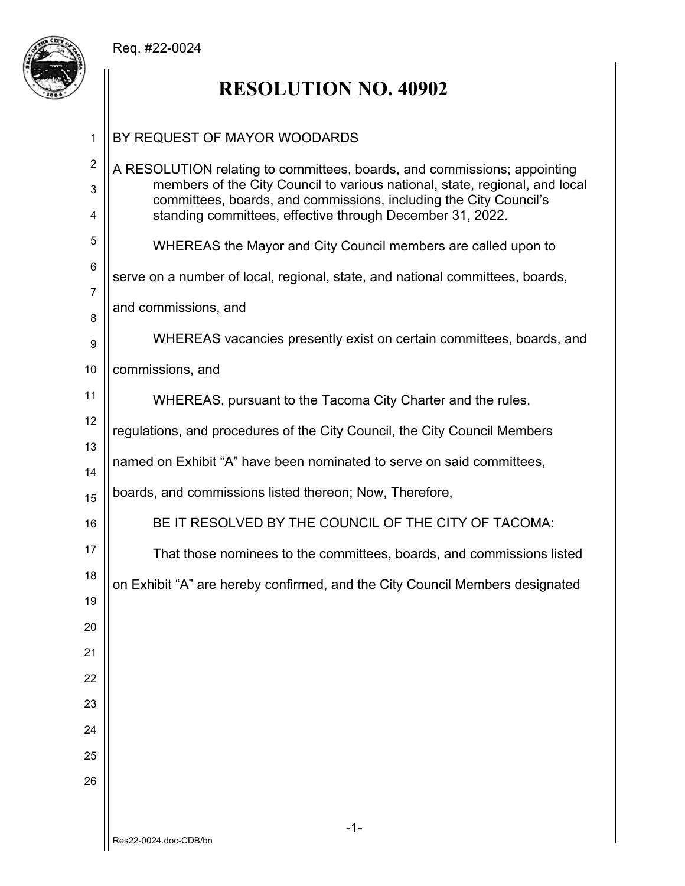## Req. #22-0024



# **RESOLUTION NO. 40902**

| 1                        | BY REQUEST OF MAYOR WOODARDS                                                                                                                                                                                                                                                              |  |  |  |  |  |  |
|--------------------------|-------------------------------------------------------------------------------------------------------------------------------------------------------------------------------------------------------------------------------------------------------------------------------------------|--|--|--|--|--|--|
| $\overline{2}$<br>3<br>4 | A RESOLUTION relating to committees, boards, and commissions; appointing<br>members of the City Council to various national, state, regional, and local<br>committees, boards, and commissions, including the City Council's<br>standing committees, effective through December 31, 2022. |  |  |  |  |  |  |
| 5                        | WHEREAS the Mayor and City Council members are called upon to                                                                                                                                                                                                                             |  |  |  |  |  |  |
| 6<br>$\overline{7}$      | serve on a number of local, regional, state, and national committees, boards,                                                                                                                                                                                                             |  |  |  |  |  |  |
| 8                        | and commissions, and                                                                                                                                                                                                                                                                      |  |  |  |  |  |  |
| 9                        | WHEREAS vacancies presently exist on certain committees, boards, and                                                                                                                                                                                                                      |  |  |  |  |  |  |
| 10                       | commissions, and                                                                                                                                                                                                                                                                          |  |  |  |  |  |  |
| 11                       | WHEREAS, pursuant to the Tacoma City Charter and the rules,                                                                                                                                                                                                                               |  |  |  |  |  |  |
| 12                       | regulations, and procedures of the City Council, the City Council Members                                                                                                                                                                                                                 |  |  |  |  |  |  |
| 13<br>14                 | named on Exhibit "A" have been nominated to serve on said committees,                                                                                                                                                                                                                     |  |  |  |  |  |  |
| 15                       | boards, and commissions listed thereon; Now, Therefore,                                                                                                                                                                                                                                   |  |  |  |  |  |  |
| 16                       | BE IT RESOLVED BY THE COUNCIL OF THE CITY OF TACOMA:                                                                                                                                                                                                                                      |  |  |  |  |  |  |
| 17                       | That those nominees to the committees, boards, and commissions listed                                                                                                                                                                                                                     |  |  |  |  |  |  |
| 18                       | on Exhibit "A" are hereby confirmed, and the City Council Members designated                                                                                                                                                                                                              |  |  |  |  |  |  |
| 19                       |                                                                                                                                                                                                                                                                                           |  |  |  |  |  |  |
| 20<br>21                 |                                                                                                                                                                                                                                                                                           |  |  |  |  |  |  |
| 22                       |                                                                                                                                                                                                                                                                                           |  |  |  |  |  |  |
| 23                       |                                                                                                                                                                                                                                                                                           |  |  |  |  |  |  |
| 24                       |                                                                                                                                                                                                                                                                                           |  |  |  |  |  |  |
| 25                       |                                                                                                                                                                                                                                                                                           |  |  |  |  |  |  |
| 26                       |                                                                                                                                                                                                                                                                                           |  |  |  |  |  |  |
|                          |                                                                                                                                                                                                                                                                                           |  |  |  |  |  |  |
|                          | $-1-$<br>Res22-0024.doc-CDB/bn                                                                                                                                                                                                                                                            |  |  |  |  |  |  |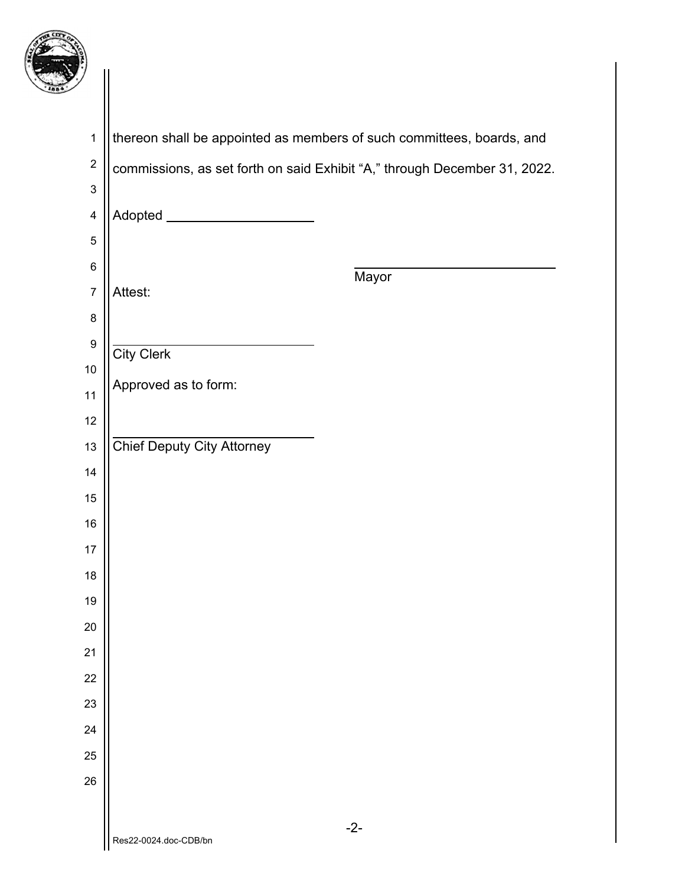

| $\mathbf{1}$              | thereon shall be appointed as members of such committees, boards, and     |
|---------------------------|---------------------------------------------------------------------------|
| $\boldsymbol{2}$          | commissions, as set forth on said Exhibit "A," through December 31, 2022. |
| $\ensuremath{\mathsf{3}}$ |                                                                           |
| $\overline{\mathbf{4}}$   | Adopted ________________________                                          |
| $\mathbf 5$               |                                                                           |
| $\,6$                     | Mayor                                                                     |
| $\overline{7}$            | Attest:                                                                   |
| $\bf 8$                   |                                                                           |
| $\boldsymbol{9}$          | <b>City Clerk</b>                                                         |
| 10<br>11                  | Approved as to form:                                                      |
| 12                        |                                                                           |
| 13                        | <b>Chief Deputy City Attorney</b>                                         |
| 14                        |                                                                           |
| 15                        |                                                                           |
| 16                        |                                                                           |
| 17                        |                                                                           |
| 18                        |                                                                           |
| 19                        |                                                                           |
| 20                        |                                                                           |
| 21                        |                                                                           |
| 22                        |                                                                           |
| 23                        |                                                                           |
| 24                        |                                                                           |
| 25                        |                                                                           |
| 26                        |                                                                           |
|                           | $-2-$                                                                     |
|                           | Res22-0024.doc-CDB/bn                                                     |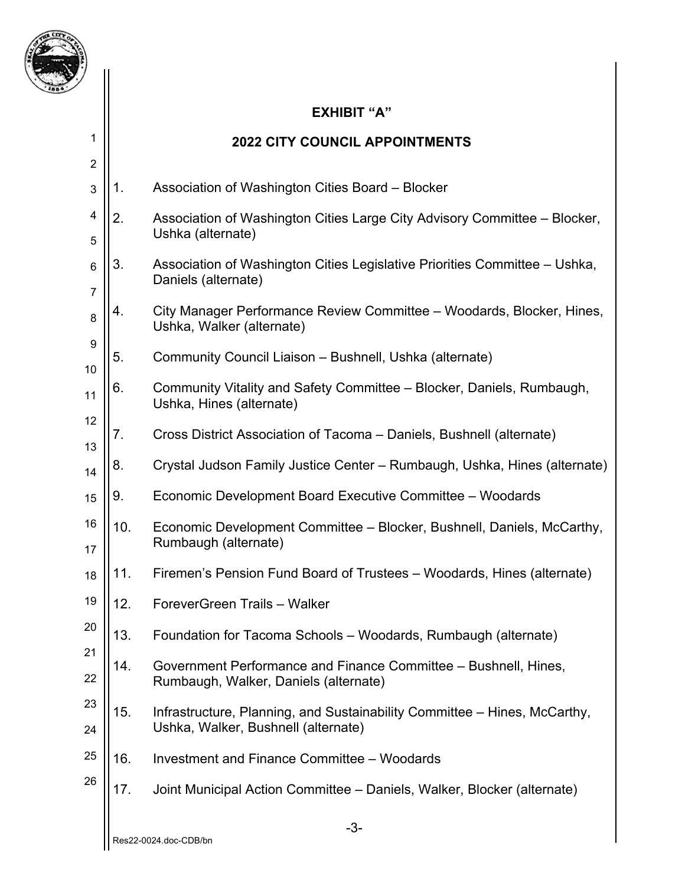

1

### **EXHIBIT "A"**

## **2022 CITY COUNCIL APPOINTMENTS**

| $\overline{2}$      |     |                                                                                                                  |
|---------------------|-----|------------------------------------------------------------------------------------------------------------------|
| 3                   | 1.  | Association of Washington Cities Board - Blocker                                                                 |
| 4<br>5              | 2.  | Association of Washington Cities Large City Advisory Committee – Blocker,<br>Ushka (alternate)                   |
| $6\phantom{1}6$     | 3.  | Association of Washington Cities Legislative Priorities Committee – Ushka,<br>Daniels (alternate)                |
| $\overline{7}$<br>8 | 4.  | City Manager Performance Review Committee – Woodards, Blocker, Hines,<br>Ushka, Walker (alternate)               |
| 9<br>10             | 5.  | Community Council Liaison - Bushnell, Ushka (alternate)                                                          |
| 11                  | 6.  | Community Vitality and Safety Committee – Blocker, Daniels, Rumbaugh,<br>Ushka, Hines (alternate)                |
| 12<br>13            | 7.  | Cross District Association of Tacoma – Daniels, Bushnell (alternate)                                             |
| 14                  | 8.  | Crystal Judson Family Justice Center – Rumbaugh, Ushka, Hines (alternate)                                        |
| 15                  | 9.  | Economic Development Board Executive Committee - Woodards                                                        |
| 16<br>17            | 10. | Economic Development Committee – Blocker, Bushnell, Daniels, McCarthy,<br>Rumbaugh (alternate)                   |
| 18                  | 11. | Firemen's Pension Fund Board of Trustees – Woodards, Hines (alternate)                                           |
| 19                  | 12. | ForeverGreen Trails - Walker                                                                                     |
| 20                  | 13. | Foundation for Tacoma Schools - Woodards, Rumbaugh (alternate)                                                   |
| 21<br>22            | 14. | Government Performance and Finance Committee – Bushnell, Hines,<br>Rumbaugh, Walker, Daniels (alternate)         |
| 23<br>24            | 15. | Infrastructure, Planning, and Sustainability Committee - Hines, McCarthy,<br>Ushka, Walker, Bushnell (alternate) |
| 25                  | 16. | Investment and Finance Committee - Woodards                                                                      |
| 26                  | 17. | Joint Municipal Action Committee - Daniels, Walker, Blocker (alternate)                                          |
|                     |     | -3-                                                                                                              |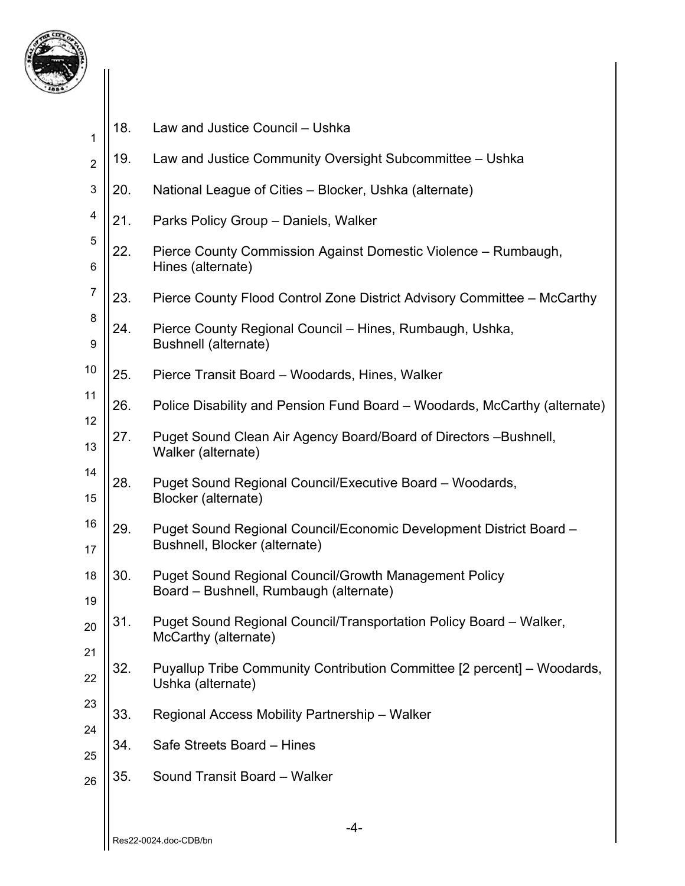

| 1              | 18. | Law and Justice Council - Ushka                                                                        |
|----------------|-----|--------------------------------------------------------------------------------------------------------|
| $\overline{2}$ | 19. | Law and Justice Community Oversight Subcommittee - Ushka                                               |
| 3              | 20. | National League of Cities - Blocker, Ushka (alternate)                                                 |
| 4              | 21. | Parks Policy Group - Daniels, Walker                                                                   |
| 5<br>6         | 22. | Pierce County Commission Against Domestic Violence - Rumbaugh,<br>Hines (alternate)                    |
| $\overline{7}$ | 23. | Pierce County Flood Control Zone District Advisory Committee - McCarthy                                |
| 8<br>9         | 24. | Pierce County Regional Council – Hines, Rumbaugh, Ushka,<br>Bushnell (alternate)                       |
| 10             | 25. | Pierce Transit Board - Woodards, Hines, Walker                                                         |
| 11             | 26. | Police Disability and Pension Fund Board – Woodards, McCarthy (alternate)                              |
| 12<br>13       | 27. | Puget Sound Clean Air Agency Board/Board of Directors - Bushnell,<br>Walker (alternate)                |
| 14<br>15       | 28. | Puget Sound Regional Council/Executive Board - Woodards,<br>Blocker (alternate)                        |
| 16<br>17       | 29. | Puget Sound Regional Council/Economic Development District Board -<br>Bushnell, Blocker (alternate)    |
| 18<br>19       | 30. | <b>Puget Sound Regional Council/Growth Management Policy</b><br>Board - Bushnell, Rumbaugh (alternate) |
| 20             | 31. | Puget Sound Regional Council/Transportation Policy Board - Walker,<br>McCarthy (alternate)             |
| 21<br>22       | 32. | Puyallup Tribe Community Contribution Committee [2 percent] – Woodards,<br>Ushka (alternate)           |
| 23             | 33. | Regional Access Mobility Partnership - Walker                                                          |
| 24             | 34. | Safe Streets Board - Hines                                                                             |
| 25<br>26       | 35. | Sound Transit Board - Walker                                                                           |
|                |     |                                                                                                        |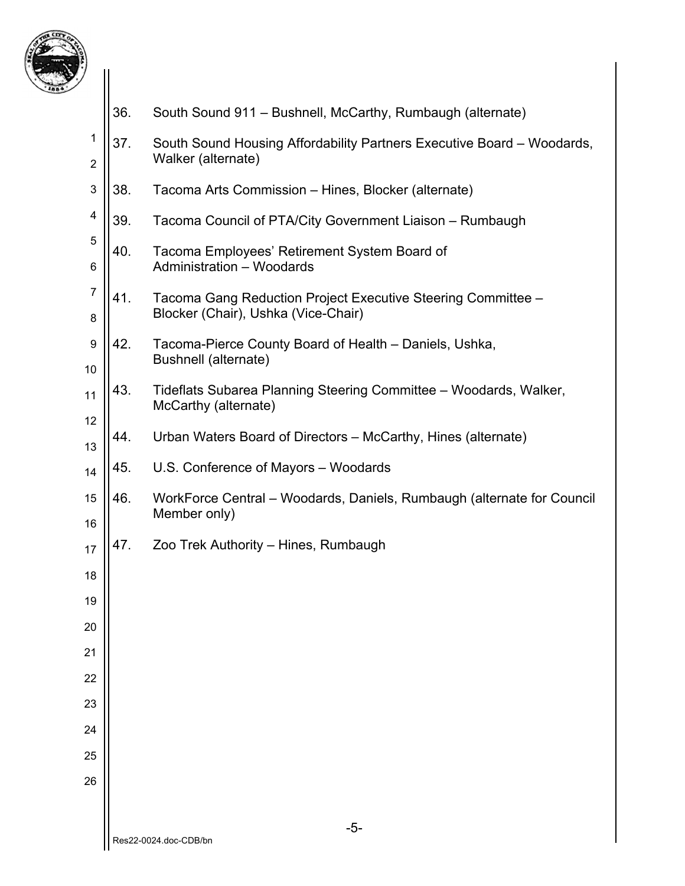

| 7                   |     |                                                                                                     |
|---------------------|-----|-----------------------------------------------------------------------------------------------------|
|                     | 36. | South Sound 911 – Bushnell, McCarthy, Rumbaugh (alternate)                                          |
| 1<br>$\overline{2}$ | 37. | South Sound Housing Affordability Partners Executive Board – Woodards,<br>Walker (alternate)        |
| 3                   | 38. | Tacoma Arts Commission - Hines, Blocker (alternate)                                                 |
| 4                   | 39. | Tacoma Council of PTA/City Government Liaison - Rumbaugh                                            |
| 5<br>6              | 40. | Tacoma Employees' Retirement System Board of<br><b>Administration - Woodards</b>                    |
| 7<br>8              | 41. | Tacoma Gang Reduction Project Executive Steering Committee -<br>Blocker (Chair), Ushka (Vice-Chair) |
| 9<br>10             | 42. | Tacoma-Pierce County Board of Health - Daniels, Ushka,<br>Bushnell (alternate)                      |
| 11                  | 43. | Tideflats Subarea Planning Steering Committee – Woodards, Walker,<br>McCarthy (alternate)           |
| 12<br>13            | 44. | Urban Waters Board of Directors – McCarthy, Hines (alternate)                                       |
| 14                  | 45. | U.S. Conference of Mayors - Woodards                                                                |
| 15<br>16            | 46. | WorkForce Central – Woodards, Daniels, Rumbaugh (alternate for Council<br>Member only)              |
| 17                  | 47. | Zoo Trek Authority – Hines, Rumbaugh                                                                |
| 18                  |     |                                                                                                     |
| 19                  |     |                                                                                                     |
| 20                  |     |                                                                                                     |
| 21                  |     |                                                                                                     |
| 22                  |     |                                                                                                     |
| 23                  |     |                                                                                                     |
| 24                  |     |                                                                                                     |
| 25                  |     |                                                                                                     |
| 26                  |     |                                                                                                     |
|                     |     |                                                                                                     |
|                     |     | $-5-$<br>Res22-0024.doc-CDB/bn                                                                      |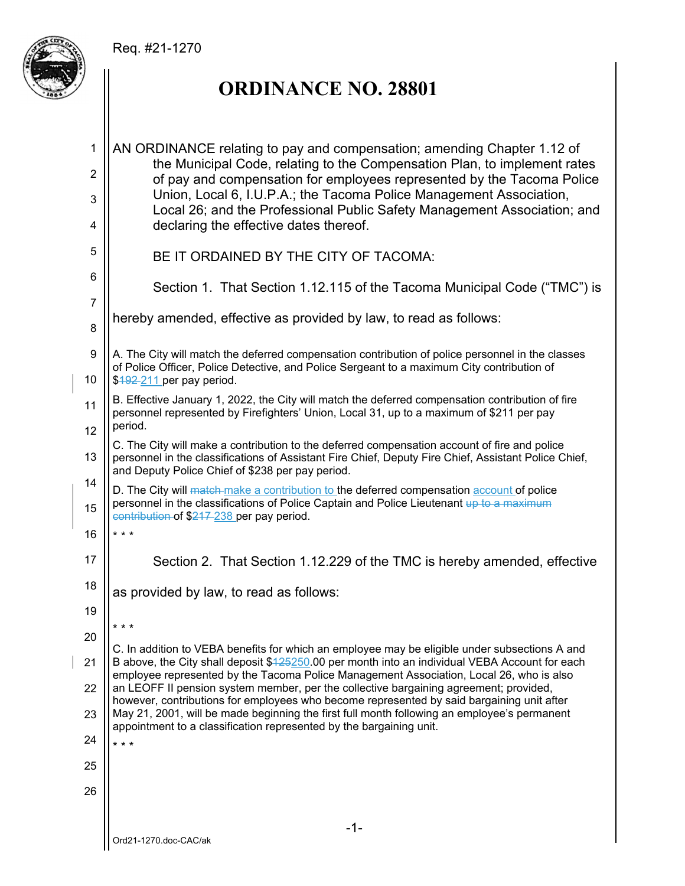## Req. #21-1270



 $\overline{\phantom{a}}$ 

# **ORDINANCE NO. 28801**

| 1              | AN ORDINANCE relating to pay and compensation; amending Chapter 1.12 of<br>the Municipal Code, relating to the Compensation Plan, to implement rates                                                                         |  |  |  |  |  |
|----------------|------------------------------------------------------------------------------------------------------------------------------------------------------------------------------------------------------------------------------|--|--|--|--|--|
| 2              | of pay and compensation for employees represented by the Tacoma Police<br>Union, Local 6, I.U.P.A.; the Tacoma Police Management Association,                                                                                |  |  |  |  |  |
| 3<br>4         | Local 26; and the Professional Public Safety Management Association; and<br>declaring the effective dates thereof.                                                                                                           |  |  |  |  |  |
| 5              | BE IT ORDAINED BY THE CITY OF TACOMA:                                                                                                                                                                                        |  |  |  |  |  |
| 6              | Section 1. That Section 1.12.115 of the Tacoma Municipal Code ("TMC") is                                                                                                                                                     |  |  |  |  |  |
| $\overline{7}$ | hereby amended, effective as provided by law, to read as follows:                                                                                                                                                            |  |  |  |  |  |
| 8              |                                                                                                                                                                                                                              |  |  |  |  |  |
| 9<br>10        | A. The City will match the deferred compensation contribution of police personnel in the classes<br>of Police Officer, Police Detective, and Police Sergeant to a maximum City contribution of<br>$$492-211$ per pay period. |  |  |  |  |  |
| 11             | B. Effective January 1, 2022, the City will match the deferred compensation contribution of fire<br>personnel represented by Firefighters' Union, Local 31, up to a maximum of \$211 per pay<br>period.                      |  |  |  |  |  |
| 12<br>13       | C. The City will make a contribution to the deferred compensation account of fire and police<br>personnel in the classifications of Assistant Fire Chief, Deputy Fire Chief, Assistant Police Chief,                         |  |  |  |  |  |
| 14             | and Deputy Police Chief of \$238 per pay period.<br>D. The City will match-make a contribution to the deferred compensation account of police                                                                                |  |  |  |  |  |
| 15             | personnel in the classifications of Police Captain and Police Lieutenant up to a maximum<br>contribution of \$217-238 per pay period.                                                                                        |  |  |  |  |  |
| 16             | * * *                                                                                                                                                                                                                        |  |  |  |  |  |
| 17             | Section 2. That Section 1.12.229 of the TMC is hereby amended, effective                                                                                                                                                     |  |  |  |  |  |
| 18             | as provided by law, to read as follows:                                                                                                                                                                                      |  |  |  |  |  |
| 19             | * * *                                                                                                                                                                                                                        |  |  |  |  |  |
| 20             | C. In addition to VEBA benefits for which an employee may be eligible under subsections A and                                                                                                                                |  |  |  |  |  |
| 21             | B above, the City shall deposit \$425250.00 per month into an individual VEBA Account for each<br>employee represented by the Tacoma Police Management Association, Local 26, who is also                                    |  |  |  |  |  |
| 22             | an LEOFF II pension system member, per the collective bargaining agreement; provided,<br>however, contributions for employees who become represented by said bargaining unit after                                           |  |  |  |  |  |
| 23             | May 21, 2001, will be made beginning the first full month following an employee's permanent<br>appointment to a classification represented by the bargaining unit.                                                           |  |  |  |  |  |
| 24             | $***$                                                                                                                                                                                                                        |  |  |  |  |  |
| 25             |                                                                                                                                                                                                                              |  |  |  |  |  |
| 26             |                                                                                                                                                                                                                              |  |  |  |  |  |
|                | $-1-$                                                                                                                                                                                                                        |  |  |  |  |  |
|                | Ord21-1270.doc-CAC/ak                                                                                                                                                                                                        |  |  |  |  |  |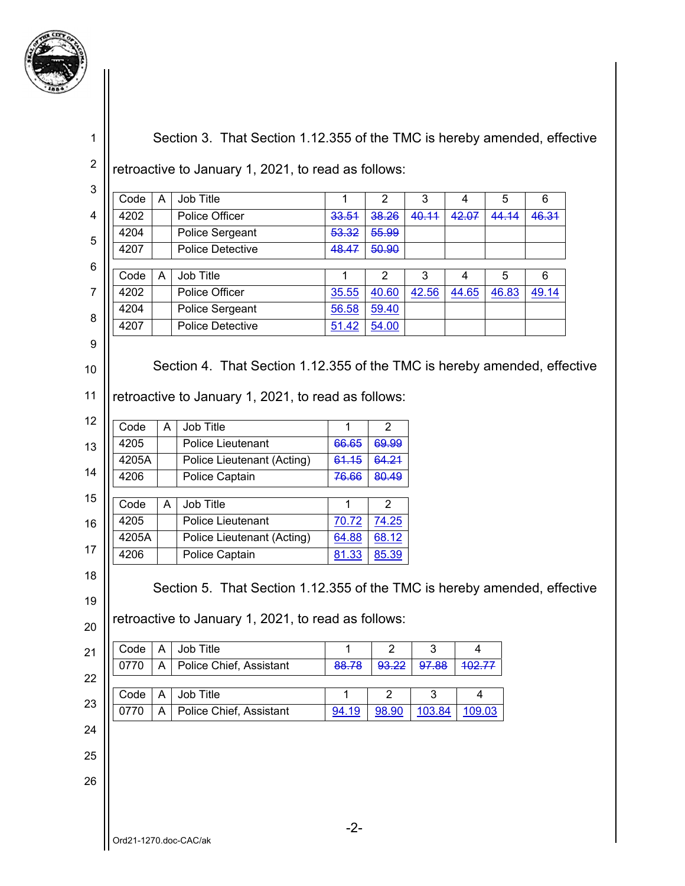

1

Section 3. That Section 1.12.355 of the TMC is hereby amended, effective

2 retroactive to January 1, 2021, to read as follows:

| $\mathbf{3}$   |                       |              |                                                                          |              |                |        |                |       |       |  |
|----------------|-----------------------|--------------|--------------------------------------------------------------------------|--------------|----------------|--------|----------------|-------|-------|--|
|                | Code                  | A            | Job Title                                                                | 1            | $\overline{2}$ | 3      | $\overline{4}$ | 5     | 6     |  |
| 4              | 4202                  |              | <b>Police Officer</b>                                                    | 33.51        | 38.26          | 40.11  | 42.07          | 44.14 | 46.31 |  |
| 5              | 4204                  |              | Police Sergeant                                                          | 53.32        | 55.99          |        |                |       |       |  |
|                | 4207                  |              | <b>Police Detective</b>                                                  | 48.47        | 50.90          |        |                |       |       |  |
| 6              | Code                  | A            | Job Title                                                                | $\mathbf{1}$ | $\overline{2}$ | 3      | 4              | 5     | 6     |  |
| $\overline{7}$ | 4202                  |              | <b>Police Officer</b>                                                    | 35.55        | 40.60          | 42.56  | 44.65          | 46.83 | 49.14 |  |
|                | 4204                  |              | Police Sergeant                                                          | 56.58        | 59.40          |        |                |       |       |  |
| 8              | 4207                  |              | Police Detective                                                         | 51.42        | 54.00          |        |                |       |       |  |
| 9              |                       |              |                                                                          |              |                |        |                |       |       |  |
|                |                       |              |                                                                          |              |                |        |                |       |       |  |
| 10             |                       |              | Section 4. That Section 1.12.355 of the TMC is hereby amended, effective |              |                |        |                |       |       |  |
| 11             |                       |              | retroactive to January 1, 2021, to read as follows:                      |              |                |        |                |       |       |  |
| 12             | Code                  | A            | Job Title                                                                | $\mathbf{1}$ | $\overline{2}$ |        |                |       |       |  |
|                | 4205                  |              | <b>Police Lieutenant</b>                                                 | 66.65        | 69.99          |        |                |       |       |  |
| 13             | 4205A                 |              | <b>Police Lieutenant (Acting)</b>                                        | 61.15        | 64.21          |        |                |       |       |  |
| 14             | 4206                  |              | Police Captain                                                           | 76.66        | 80.49          |        |                |       |       |  |
| 15             |                       |              |                                                                          |              |                |        |                |       |       |  |
|                | Code                  | A            | Job Title                                                                | $\mathbf{1}$ | $\overline{2}$ |        |                |       |       |  |
| 16             | 4205                  |              | Police Lieutenant                                                        | 70.72        | 74.25          |        |                |       |       |  |
|                | 4205A                 |              | Police Lieutenant (Acting)                                               | 64.88        | 68.12          |        |                |       |       |  |
| 17             | 4206                  |              | Police Captain                                                           | 81.33        | 85.39          |        |                |       |       |  |
| 18             |                       |              |                                                                          |              |                |        |                |       |       |  |
| 19             |                       |              | Section 5. That Section 1.12.355 of the TMC is hereby amended, effective |              |                |        |                |       |       |  |
|                |                       |              |                                                                          |              |                |        |                |       |       |  |
| 20             |                       |              | retroactive to January 1, 2021, to read as follows:                      |              |                |        |                |       |       |  |
| 21             | Code                  | $\mathsf{A}$ | Job Title                                                                | $\mathbf{1}$ | $\overline{2}$ | 3      | 4              |       |       |  |
|                | 0770                  | A            | Police Chief, Assistant                                                  | 88.78        | 93.22          | 97.88  | 402.77         |       |       |  |
| 22             |                       |              |                                                                          |              |                |        |                |       |       |  |
| 23             | Code                  | A            | Job Title                                                                | 1            | $\overline{2}$ | 3      | 4              |       |       |  |
|                | 0770                  | A            | Police Chief, Assistant                                                  | 94.19        | 98.90          | 103.84 | 109.03         |       |       |  |
| 24             |                       |              |                                                                          |              |                |        |                |       |       |  |
| 25             |                       |              |                                                                          |              |                |        |                |       |       |  |
|                |                       |              |                                                                          |              |                |        |                |       |       |  |
| 26             |                       |              |                                                                          |              |                |        |                |       |       |  |
|                |                       |              |                                                                          |              |                |        |                |       |       |  |
|                |                       |              |                                                                          | $-2-$        |                |        |                |       |       |  |
|                | Ord21-1270.doc-CAC/ak |              |                                                                          |              |                |        |                |       |       |  |
|                |                       |              |                                                                          |              |                |        |                |       |       |  |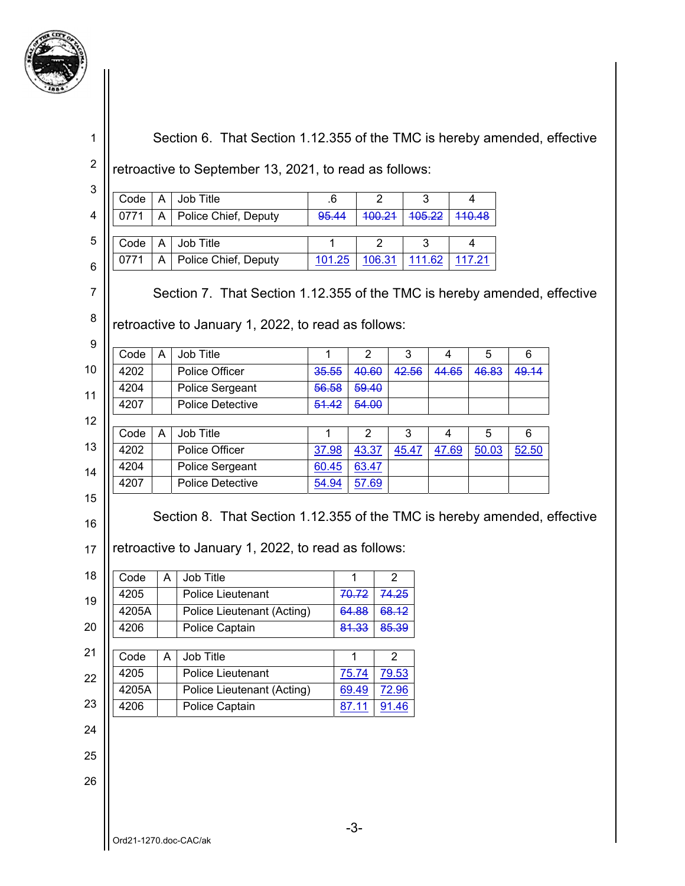

|                                                                       |                | retroactive to September 13, 2021, to read as follows:                                                                          |                |                |                |                |                |        |       |
|-----------------------------------------------------------------------|----------------|---------------------------------------------------------------------------------------------------------------------------------|----------------|----------------|----------------|----------------|----------------|--------|-------|
| Code                                                                  | $\overline{A}$ | Job Title                                                                                                                       | .6             |                | $\overline{2}$ | 3              |                | 4      |       |
| 0771                                                                  | A              | Police Chief, Deputy                                                                                                            | 95.44          |                | 100.21         | 105.22         |                | 110.48 |       |
| Code                                                                  | A              | Job Title                                                                                                                       | 1              |                | $\overline{2}$ | 3              |                | 4      |       |
| 0771                                                                  | A              | Police Chief, Deputy                                                                                                            | 101.25         |                | 106.31         | 111.62         |                | 117.21 |       |
| Code                                                                  | A              | retroactive to January 1, 2022, to read as follows:<br>Job Title                                                                | $\mathbf{1}$   | $\overline{2}$ |                | 3              | $\overline{4}$ | 5      | 6     |
| 4202                                                                  |                | Police Officer                                                                                                                  | 35.55          | 40.60          |                | 42.56          | 44.65          | 46.83  | 49.14 |
| 4204                                                                  |                | Police Sergeant                                                                                                                 | 56.58          | 59.40          |                |                |                |        |       |
| 4207                                                                  |                | <b>Police Detective</b>                                                                                                         | 51.42          | 54.00          |                |                |                |        |       |
| Code                                                                  | A              | Job Title                                                                                                                       | $\mathbf{1}$   | $\overline{2}$ |                | 3              | $\overline{4}$ | 5      | 6     |
|                                                                       |                | Police Officer                                                                                                                  |                |                |                |                |                |        |       |
|                                                                       |                |                                                                                                                                 |                |                |                |                |                |        |       |
|                                                                       |                |                                                                                                                                 | 37.98          | 43.37          |                | 45.47          | 47.69          | 50.03  | 52.50 |
|                                                                       |                | Police Sergeant<br><b>Police Detective</b>                                                                                      | 60.45<br>54.94 | 63.47<br>57.69 |                |                |                |        |       |
|                                                                       |                | Section 8. That Section 1.12.355 of the TMC is hereby amended, effective<br>retroactive to January 1, 2022, to read as follows: |                |                |                |                |                |        |       |
|                                                                       | A              | Job Title                                                                                                                       |                | 1              |                | $\overline{2}$ |                |        |       |
|                                                                       |                | Police Lieutenant                                                                                                               |                | 70.72          |                | 74.25          |                |        |       |
|                                                                       |                | Police Lieutenant (Acting)                                                                                                      |                | 64.88          |                | 68.12          |                |        |       |
|                                                                       |                | Police Captain                                                                                                                  |                | 81.33          |                | 85.39          |                |        |       |
|                                                                       | A              | Job Title                                                                                                                       |                | 1              |                | $\overline{2}$ |                |        |       |
| 4202<br>4204<br>4207<br>Code<br>4205<br>4205A<br>4206<br>Code<br>4205 |                | Police Lieutenant                                                                                                               |                | 75.74          |                | 79.53          |                |        |       |
|                                                                       |                | Police Lieutenant (Acting)                                                                                                      |                | 69.49          |                | 72.96          |                |        |       |
|                                                                       |                | Police Captain                                                                                                                  |                | 87.11          |                | 91.46          |                |        |       |
|                                                                       |                |                                                                                                                                 |                |                |                |                |                |        |       |
| 4205A<br>4206                                                         |                |                                                                                                                                 |                |                |                |                |                |        |       |